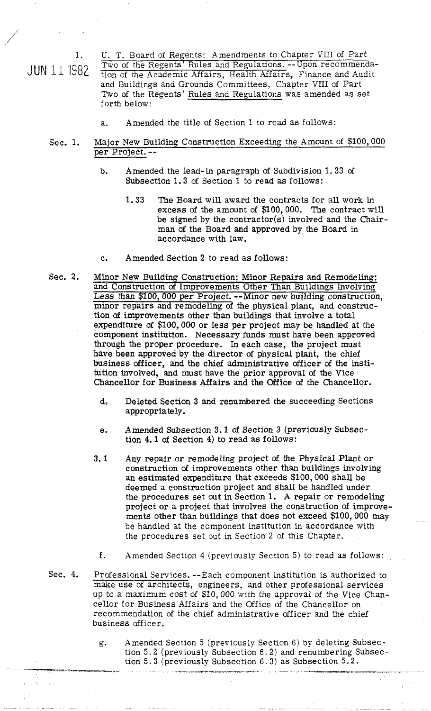1. U. T. Board of Regents: Amendments to Chapter VIII of Part<br>1000 Two of the Regents' Rules and Regulations. --Upon recommenda- $JUN$  11 1982  $\frac{1 \text{ mod of the Regents Rules and Regulations. -1 open recommendations}}{1 \text{ top of the Academic Affairs, Health Affairs, Finance and Audi.}$ and Buildings and Grounds Committees. Chapter VIII of Part Two of the Regents' Rules and Regulations was amended as set forth below:

- a. Amended the title of Section 1 to read as follows:
- Sec. 1. Major New Building Construction Exceeding the Amount of \$100,000 per Project. -
	- b. Amended the lead-in paragraph of Subdivision 1.33 of Subsection 1.3 of Section 1 to read **as** follows:
		- 1.33 The Board will award the contracts for all work in excess **of** the amount of \$100,000. **The** contract will be signed by the contractor(s) involved and the Chairman of the Board and approved by the Board in accordance with law.
	- c. Amended Section 2 to read as follows:
- Sec. 2. Minor New Building Construction; Minor Repairs and Remodeling; and Construction **of** Improvements Other Than Buildings Involving Less than \$100,000 per Project. --Minor new building construction, minor repairs and remodeling of the physical plant, and construction of improvements other than buildings that involve a total expenditure of \$100,000 or less per project may be handled at the component institution. Necessary funds must have been approved through the proper procedure. In each case, the project must have been approved by the director of physical plant, the chief business officer, and the chief administrative officer **of** the institution involved, and must have the prior approval **of** the Vice Chancellor for Business Affairs and the Office of the Chancellor.
	- d, Deleted Section 3 and renumbered the succeeding Sections appropriately.
	- e. Amended Subsection 3.1 of Section 3 (previously Subsection 4.1 **of** Section 4) to read as follows:
	- 3.1 Any repair or remodeling project of the Physical Plant or construction **of** improvements other than buildings involving an estimated expenditure that exceeds \$100,000 shall be deemed a construction project and shall be handled under the procedures set out in Section 1. A repair or remodeling project or a project that involves the construction of improvements other than buildings that does not exceed \$100,000 may be handled at the component institution in accordance with the procedures set out in Section 2 of this Chapter.
		- f. Amended Section 4 (previously Secrion **5)** to read as follows:
- Sec. 4. Professional Services. --Each component institution is authorized to make use of architects, engineers, and other professional services up to a maximum cost of \$10,000 with the approval of the Vice Chancellor for Business Affairs and the Office of the Chancellor on recommendation of the chief administrative officer and the chief business officer.
- g. Amended Section 5 (previously Section 6) by deleting Subsection 5.2 (previously Subsection 6.2) and renumbering Subsection 5.3 (previously Subsection 6.3) as Subsection 5.2.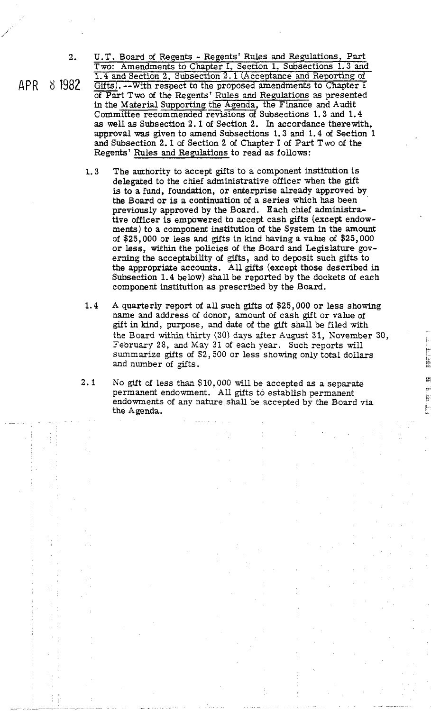2. U. T. Board of Regents - Regents' Rules and Regulations, Part Two: Amendments to Chapter I, Section 1, Subsections 1.3 and 1.4 and Section 2, Subsection 2.1 (Acceptance and Reporting of 2. U.T. Board of Regents - Regents' Rules and Regulations, Part Two: Amendments to Chapter I, Section 1, Subsections 1.3 and  $\frac{1.4}{1.4}$  and Section 2, Subsection 2.1 (Acceptance and Reporting of  $\frac{1.4}{1.4}$  of  $\frac{1}{$ of Part Two of the Regents' Rules and Regulations as presented 1.4 and Section 2, Subsection 2.1 (Acceptance and Reporting of Gifts). --With respect to the proposed amendments to Chapter 1 of Part Two of the Regents' Rules and Regulations as presented in the Material Supporting the Ag as well as Subsection 2.1 of Section 2. In accordance therewith, approval **was** given to amend Subsections 1.3 and 1.4 of Section 1 and Subsection 2.1 of Section 2 of Chapter I of **Part** Two of the Regents' Rules and Regulations to read as follows:

- **1.3** The authority to accept gfts to a component institution is delegated to the chief administrative officer when the gift is to a fund, foundation, or enterprise already approved by the Board or is a continuation of a series which has been previously approved by the Board. Each chief administrative officer is empowered to accept cash gifts (except endowments) to a component institution of the System in the amount of \$25,000 or less and gifts in kind having a value of \$25,000 or less, within the policies of the Board and Legislature governing the acceptability of gifts, and to deposit such gifts to the appropriate accounts. All gifts (except those described in Subsection 1.4 below) shall be reported by the dockets of each component institution as prescribed by the Board.
- 1.4 A quarterly report of all such gifts of \$25,000 or less showing name and address of donor, amount of cash gift or value of gift in kind, purpose, and date of the gift shall be filed with the Board within thirty (30) days after August 31, November 30, February 28, and May 31 of each year. Such reports will summarize gifts of  $$2,500$  or less showing only total dollars and number of gifts.
- 2.1 No gift of less than \$10,000 will be accepted as a separate permanent endowment. All gifts to establish permanent endowments of any nature shall be accepted by the Board **via**  the Agenda.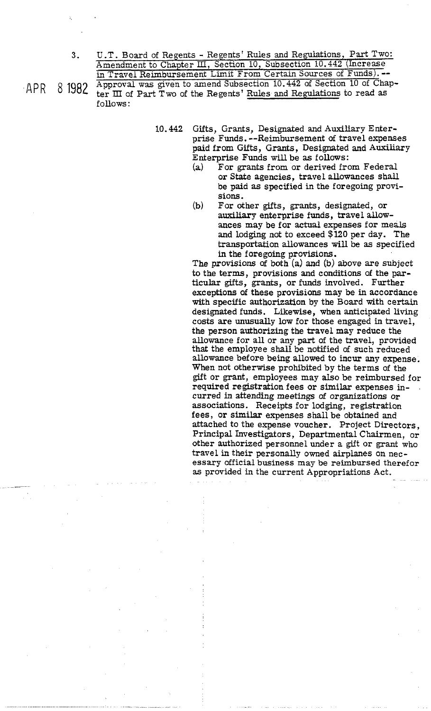U.T. Board of Regents - Regents' Rules and Regulations, Part Two: Amendment to Chapter III, Section 10, Subsection 10.442 (Increase in Travel Reimbursement Limit From Certain Sources of Funds). --

APR-8 1982 Approval was given to amend Subsection 10.442 of Section 10 of Chapter III of Part Two of the Regents' Rules and Regulations to read as follows:

- **10.442** Gifts, Grants, Designated and Auxiliary Enterprise Funds. --Reimbursement of travel expenses paid from Gifts, Grants, Designated and Auxiliary Enterprise Funds will be as follows:
	- **(a)** For grants from or derived from Federal or State agencies, travel allowances shall be paid as specified in the foregoing provisions.
	- (b) For other gifts, grants, designated, or auxiliary enterprise funds, travel allowances may be for **actual** expenses for meals and lodging not to exceed \$120 per day. The transportation allowances will be as specified in the foregoing provisions.

The provisions of both (a) and **(b)** above are subject to the terms, provisions and conditions of the particular gifts, grants, or funds involved. Further exceptions of these provisions may be in accordance with specific authorization by the Board with certain designated funds. Likewise, when anticipated living costs are unusually low for those engaged in travel, the person authorizing the travel may reduce the allowance for all or any part of the travel, provided that the employee shall be notified of such reduced allowance before being allowed to incur any expense. When not otherwise prohibited by the terms of the gift or grant, employees may also be reimbursed for required registration fees or similar expenses incurred in attending meetings of organizations or associations. Receipts for lodging, registration fees, or similar expenses shall be obtained and attached to the expense voucher. Project Directors, Principal Investigators, Departmental Chairmen, or other authorized personnel under a gift or grant who travel in their personally owned airplanes on necessary official business may be reimbursed therefor as provided in the current Appropriations Act.

3.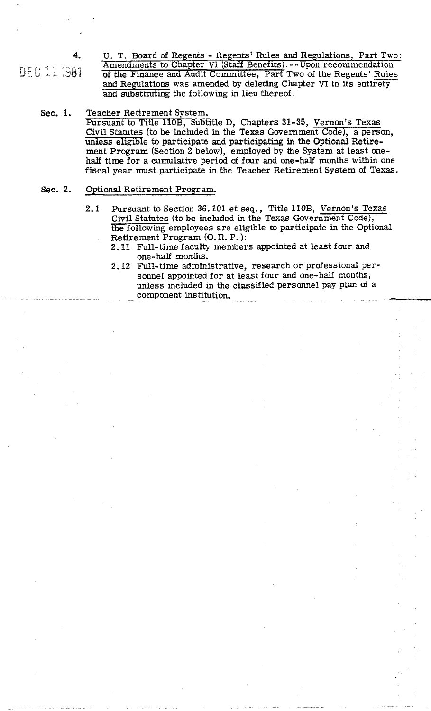**4.** U. T. Board of Regents - Regents' Rules and Regulations, Part Two: Amendments to Chapter VI (Staff Benefits). -- Upon recommendation<br>of the Finance and Audit Committee, Part Two of the Regents' Rules **2**<br> **4.** U. T. Board of Regents - Regents' Rules and Regulations, Part Two:<br>
<u>Amendments to Chapter VI</u> (Staff Benefits).--Upon recommendation<br>
of the Finance and Audit Committee, Part Two of the Regents' Rules<br>
and Regul and Regulations was amended by deleting Chapter VI in its entirety and substituting the following in lieu thereof:

## Sec. 1. Teacher Retirement System. Pursuant to Title 110B, Subtitle D, Chapters 31-35, Vernon's Texas Civil Statutes (to be included in the Texas Government Code), a person, unless eligible to participate and participating in the Optional Retirement Program (Section 2 below), employed by the System at least onehalf time for a cumulative period **of** four and one-half months within one fiscal year must participate in the Teacher Retirement System of Texas.

#### Sec. 2. Optional Retirement Program.

- 2.1 Pursuant to Section 36.101 et seq., Title 110B, Vernon's Texas Civil Statutes (to be included in the Texas Government Code), the following employees are eligible to participate in the Optional Retirement Program **(0.** R. P. ):
	- 2.11 Full-time faculty members appointed at least four and one- half months.
- 2.12 Full-time administrative, research or professional personnel appointed for at least four and one-half months, unless included in the classified personnel pay plan of a component institution.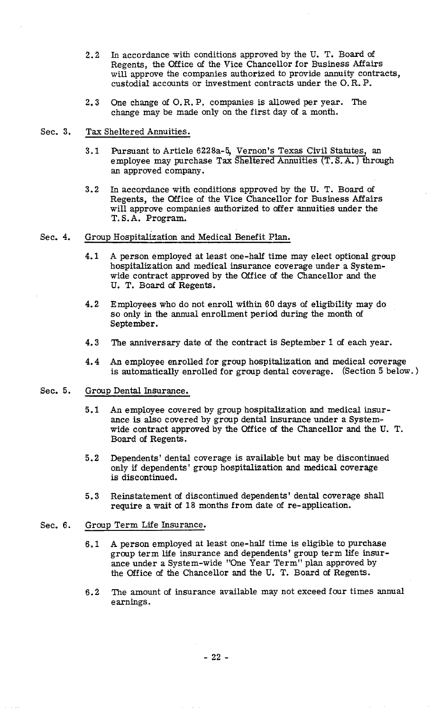- **2.2** In accordance with conditions approved by the U. T. Board of Regents, the Office of the Vice Chancellor for Business Affairs will approve the companies authorized to provide annuity contracts, custodial accounts or investment contracts under the 0. R. P.
- **2.3** One change of O.R. P. companies is allowed per year. The change may be made only on the first day of a month.
- Sec. **3.** Tax Sheltered Annuities.
	- **3.1** Pursuant to Article **6228a-5,** Vernon's Texas Civil Statutes, an employee may purchase Tax Sheltered Annuities (T. S. A. ) through an approved company.
	- **3.2** In accordance with conditions approved by the U. T. Board of Regents, the Office of the Vice Chancellor for Business Affairs will approve companies authorized to offer annuities under the T. S. A. Program.
- Sec. 4. Group Hospitalization and Medical Benefit Plan.
	- **4.1** A person employed at least one-half time may elect optional group hospitalization and medical insurance coverage under a Systemwide contract approved by the Office of the Chancellor and the U. T. Board of Regents.
	- **4.2** Employees who do not enroll within 60 days of eligibility may do so only in the annual enrollment period during the month of September.
	- **4.3** The anniversary date of the contract is September 1 of each year.
	- **4.4** An employee enrolled for group hospitalization and medical coverage is automatically enrolled for group dental coverage. (section **5** below. )
- Sec. **5.** Group Dental Insurance.
	- **5.1** An employee covered by group hospitalization and medical insurance is also covered by group dental insurance under a Systemwide contract approved by the Office of the Chancellor and the U. T. Board of Regents.
	- **5.2** Dependents' dental coverage is available but may be discontinued only if dependents' group hospitalization and medical coverage is discontinued.
	- **5.3** Reinstatement of discontinued dependents' dental coverage shall require a wait of **18** months from date of re-application.

### Sec. **6.** Group Term Life Insurance.

- 6,l A person employed at least one-half time is eligible to purchase group term life insurance and dependents' group term life insurance under a System-wide "One Year Term'' plan approved by the Office of the Chancellor and the U. T. Board of Regents.
- **6.2** The amount of insurance available may not exceed four times annual earnings.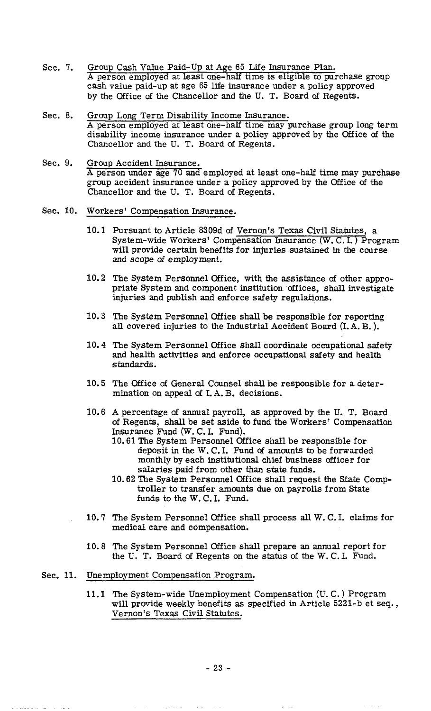- Sec. 7. Group Cash Value Paid-Up at Age 65 Life Insurance Plan. A person employed at least one-half time is eligible to purchase group cash value paid-up at age 65 life insurance under a policy approved by the Office of the Chancellor and the U. T. Board of Regents.
- Sec. 8. Group Long Term Disability Income Insurance. A person employed at least one-half time may purchase group long term disability income insurance under a policy approved by the Office **of** the Chancellor and the U. T. Board **of** Regents.
- Sec. 9. Group Accident Insurance. A person under age 70 and employed at least one-half time may purchase group accident insurance under a policy approved by the Office **of** the Chancellor and the U. T. Board of Regents.
- Sec. 10. Workers' Compensation Insurance.
	- 10.1 Pursuant to Article 8309d **of** Vernon's Texas Civil Statutes, a System-wide Workers' Compensation Insurance  $(W, C, I)$  Program will provide certain benefits for injuries sustained in the course and scope **of** employment.
	- 10.2 The System Personnel Office, with the assistance of other appropriate System and component institution offices, shall investigate injuries and publish and enforce safety regulations.
	- 10.3 The System Personnel Office shall be responsible for reporting all covered injuries to the Industrial Accident Board (I.A. B. ).
	- 10.4 The System Personnel Office shall coordinate occupational safety and health activities and enforce occupational safety and health standards .
	- 10.5 The Office **of** General Counsel shall be responsible for a determination on appeal of I. A. B. decisions.
	- 10.6 **A** percentage **of** annual payroll, as approved by the U. T. Board of Regents, shall be set aside to fund the Workers' Compensation Insurance Fund (W. C. I. Fund).
		- 10.61 The System Personnel Office shall be responsible for deposit in the W. C. I. Fund **of** amounts to be forwarded monthly by each institutional chief business officer for salaries paid from other than state funds.
		- 10.62 The System Personnel Office shall request the State Comptroller to transfer amounts due on payrolls from State funds to the W. C. I. Fund.
	- 10.7 The System Personnel Office shall process all W. C. I. claims for medical care and compensation.
	- 10.8 The System Personnel Office shall prepare an annual report for the U. T. Board **of** Regents on the status of the W. C. I. Fund.

# Sec. 11. Unemployment Compensation Program.

11.1 The System-wide Unemployment Compensation (U. C. ) Program will provide weekly benefits as specified in Article 5221-b et seq., Vernon's Texas Civil Statutes.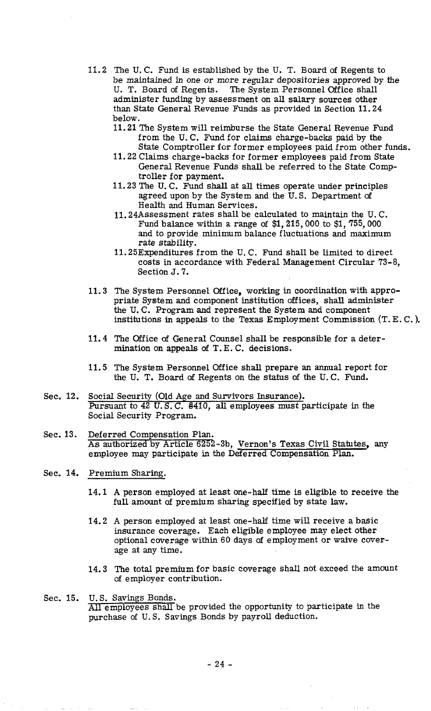- 11.2 The U. C. Fund is established by the U. T. Board of Regents to be maintained in one or more regular depositories approved by the U. T. Board **of** Regents. The System Personnel Office shall administer funding by assessment on all salary sources other than State General Revenue Funds as provided in Section 11.24 below.
	- 11.21 The System will reimburse the State General Revenue Fund from the **U.** C. Fund for claims charge-backs paid by the State Comptroller for former employees paid from other funds.
	- 11.22 Claims charge-backs for former employees paid from State General Revenue Funds shall be referred to the State Comptroller for payment.
	- 11.23 The U. C. Fund shall at all times operate under principles agreed upon by the System and the U. S. Department **of**  Health and Human Services.
	- 11.24Assessment rates shall be calculated to maintain the U. C. Fund balance within a range of \$1,215,000 to \$1,755,000 and to provide minimum balance fluctuations and maximum rate stability.
	- 11.25Expenditures from the U. C. Fund shall be limited to direct costs in accordance with Federal Management Circular 73-8, Section J. **7.**
- 11.3 The System Personnel Office, working in coordination with appropriate System and component institution offices, shall administer the U. C. Program and represent the System and component institutions in appeals to the Texas Employment Commission (T. E. C. ).
- 11.4 The Office **of** General Counsel shall be responsible for a determination on appeals **of** T. E. C. decisions.
- 11.5 The System Personnel Office shall prepare an annual report for the U. T. Board **of** Regents on the status of the U. C. Fund.
- Sec. 12. Social Security (Old Age and Survivors Insurance). Pursuant to 42 U.S.C. 8410, all employees must participate in the Social Security Program.
- Sec. 13. Deferred Compensation Plan. As authorized by Article 6252-3b, Vernon's Texas Civil Statutes, any employee may participate in the Deferred Compensation Plan.
- Sec. 14. Premium Sharing.
	- A person employed at least one-half time is eligible to receive the full amount of premium sharing specified by state law.
	- A person employed at least one-half time will receive a basic insurance coverage. Each eligible employee may elect other optional coverage within 60 days **of** employment or waive coverage at any time.
	- 14.3 The total premium for basic coverage shall not exceed the amount of employer contribution.
- Sec. 15. U. S. Savings Bonds. All employees shall be provided the opportunity to participate in the purchase of **U.** S. Savings Bonds by payroll deduction.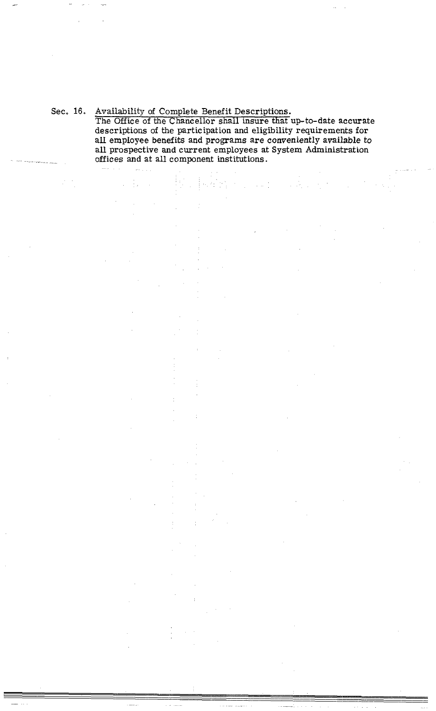Sec, 16. Availability of Complete Benefit Descriptions.

 $\sim 10^{11}$ 

The Office of the Chancellor shall insure that up-to-date accurate descriptions of the participation and eligibility requirements for all employee benefits and programs are conveniently available to all prospective and current employees at System Administration offices and at all component institutions.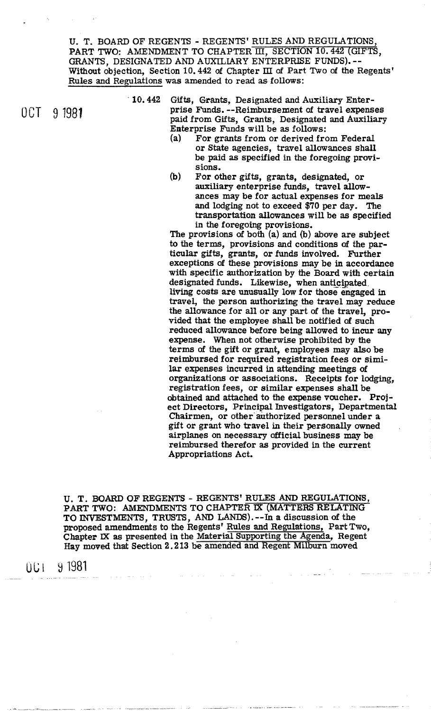U. T. BOARD OF REGENTS - REGENTS' RULES AND REGULATIONS PART **TWO:** AMENDMENT TO CHAPTER III, SECTION **10.442** (GIFTS, GRANTS, DESIGNATED AND AUXILIARY ENTERPRISE FUNDS). -- Without objection, Section **10.442** of Chapter IU of Part Two of the Regents' Rules and Regulations was amended to read as follows:

**10.442** Gifts, Grants, Designated and Auxiliary Enter-06T 9 1981 **prise Funds.** --Reimbursement of travel expenses **prise Funds.** Contract Persimental and Augustians paid from Gifts, Grants, Designated and Auxiliary Enterprise Funds will be **as** follows:

- (a) For grants from or derived from Federal or state agencies, travel allowances shall be paid **as** specified in the foregoing provis ions.
- (b) For other gifts, grants, designated, or auxiliary enterprise funds, travel allowances may be for actual expenses for meals and lodging not to exceed \$70 per day. The transportation allowances will be as specified in the foregoing provisions.

The provisions **of** both (a) and (b) above are subject to the terms, provisions and conditions of the particular gifts, grants, or funds involved. Further exceptions of these provisions may be in accordance with specific authorization by the Board with certain designated funds. Likewise, when anticipated living costs are unusually low for those engaged in travel, the person authorizing the travel may reduce the allowance for all or any part of the travel, provided that the emptoyee shall be notified **of** such reduced allowance before being allowed to incur any expense. When not otherwise prohibited by the terms **of** the gift or grant, employees may also be reimbursed for required registration fees or similar expenses incurred in attending meetings of organizations or associations. Receipts for lodging, registration fees, or similar expenses shall be obtained and attached to the expense voucher. Project Directors, Principal Investigators, Departmental Chairmen, or other authorized personnel under a gift or grant who travel in their personally owned airplanes on necessary official business may be reimbursed therefor as provided in the current Appropriations Act.

U. T. **BOARD** OF REGENTS - REGENTS' RULES AND REGULATIONS, PART TWO: AMENDMENTS TO CHAPTER IX (MATTERS RELATING TO INVESTMENTS, TRUSTS, AND LANDS). -- In a discussion of the proposed amendments to the Regents' Rules and Regulations, Part Two, Chapter **M** as presented in the Material Supporting the Agenda, Regent Hay moved that Section 2.213 be amended and Regent Milburn moved

9 1981 UCI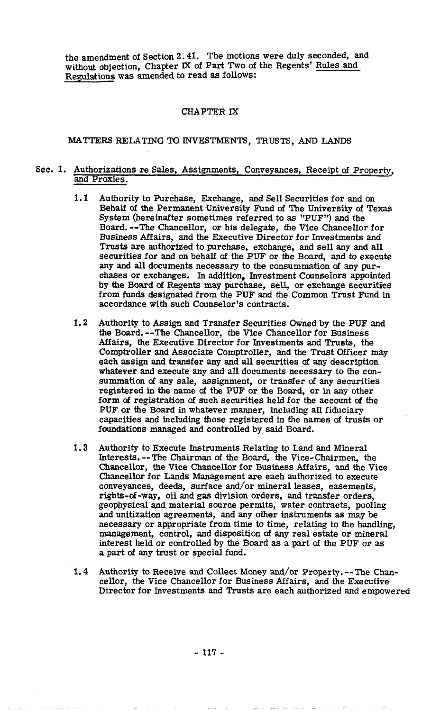the amendment of Section 2.41. The motions were duly seconded, and without objection, Chapter **IX** of Part Two of the Regents' Rules and Regulations **was** amended to read as follows:

## **CHAPTER IX**

# MATTERS **RELATING** TO INVESTMENTS, TRUSTS, AND **LANDS**

## Sec. 1. Authorizations re Sales, Assignments, Conveyances, Receipt **of** Property, and Proxies.

- $1.1$ Authority to Purchase, Exchange, and Sell Securities for and on Behalf of the Permanent University Fund of The University of Texas System (hereinafter sometimes referred to as "PUF") and the Board. --The Chancellor, or his delegate, the Vice Chancellor for Business Affairs, and the Executive Director for Investments and Trusts are authorized to purchase, exchange, and sell any and all securities for and on behalf **of** the PUF or the Board, and to execute any and all documents necessary to the consummation of any purchases or exchanges. In addition, Investment Counselors appointed by the Board **of** Regents may purchase, sell, or exchange securities from **funds** designated from the PUF and the Common Trust Fund in accordance with such Counselor's contracts.
- $1.2$ Authority to Assign and Transfer Securities Owned by the PUF and the Board. --The Chancellor, the Vice Chancellor for Business Affairs, the Executive Director for Investments and Trusts, the Comptroller and Associate Comptroller, and the Trust Officer may each assign and transfer any and all securities **of** any description whatever and execute any and all documents necessary to the consummation of any sale, assignment, or transfer of any securities registered in the name **of** the PUF or the Board, or in any other form **of** registration **of** such securities held for the account of the PUF or the Board in whatever manner, including all fiduciary capacities and including those registered in the names of trusts or foundations managed and controlled by said Board.
- Authority to Execute Instruments Relating to Land and Mineral 1.3 Interests. --The Chairman of the Board, the Vice-Chairmen, the Chancellor, the Vice Chancellor for Business Affairs, and the Vice Chancellor for Lands Management are each authorized to execute conveyances, deeds, surface and/or mineral leases, easements, rights-of-way, oil and **gas** division orders, and transfer orders, geophysical and material source permits, water contracts, pooling and unitization agreements, and any other instruments as may be necessary or appropriate from time to time, relating to the handling, management, control, and disposition of any real estate or mineral interest held or controlled by the Board as part **of** the PUF or as a part of any trust or special fund.
- Authority to Receive and Collect Money and/or Property. --The Chancellor, the Vice Chancellor for Business Affairs, and the Executive Director for Investments and Trusts are each authorized and empowered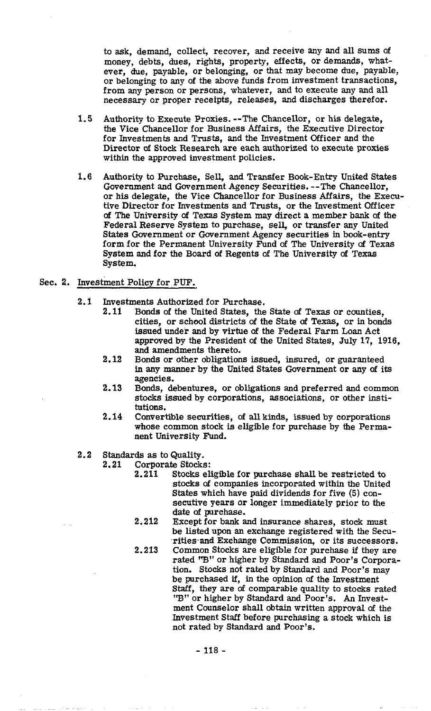to ask, demand, collect, recover, and receive any and all sums **of**  money, debts, dues, rights, property, effects, or demands, whatever, due, payable, or belonging, or that may become due, payable, or belonging to any of the above funds from investment transactions, from any person or persons, whatever, and to execute any and all necessary or proper receipts, releases, and discharges therefor.

- 1.5 Authority to Execute Proxies. --The Chancellor, or his delegate, the Vice Chancellor for Business Affairs, the Executive Director for Investments and Trusts, and the Investment Officer and the Director **ef** Stock Research are each authorized to execute proxies within the approved investment policies.
- 1.6 Authority to Purchase, Sell, and Transfer Book-Entry United States Government and Government Agency Securities. --The Chancellor, or his delegate, the Vice Chancellor for Business Affairs, the Executive Director for Investments and Trusts, or the Investment Officer **of** The University **of** Texas System may direct a member bank **of** the Federal Reserve System to purchase, sell, or transfer any United States Government or Government Agency securities in book-entry form for the Permanent University Fund **of** The University **of** Texas System and for the Board of Regents of The University **of** Texas System.

## Sec. 2.. Investment Policy for PUF.

- 2.1 Investments Authorized for Purchase.
	- 2.11 Bonds of the United States, the State **of** Texas or counties, cities, or school districts of the State **of** Texas, or in bonds issued under and by virtue **of** the Federal Farm Loan Act approved by the President of the United States, July 17, 1916, and amendments thereto.
	- 2.12 Bonds or other obligations issued, insured, or guaranteed in any manner by the United States Government or any **of** its agencies.
	- 2.13 Bonds, debentures, or obligations and preferred and common stocks issued by corporations, associations, or other institutions.
	- 2.14 Convertible securities, of all kinds, issued by corporations whose common stock is eligible for purchase by the Permanent University Fund.
- $2, 2$ Standards as to Quality.<br>2.21 Corporate Stocks
	- Corporate Stocks:
		- 2.211 Stocks eligible for purchase shall be restricted to stocks **of** companies incorporated within the United States which have paid dividends for five (5) consecutive years or longer immediately prior to the date **of** purchase.
		- 2.212 Except for bank and insurance shares, stock must be listed upon an exchange registered with the Securities and Exchange Commission, or its successors.
		- 2.213 Common Stocks are eligible for purchase if they are rated "B" or higher by Standard and Poor's Corporation. Stocks not rated by Standard and Poor's may be purchased if, in the opinion **of** the Investment Staff, they are **of** comparable quality to stocks rated "B" or higher by Standard and Poor's. An Investment Counselor shall obtain written approval **of** the Investment Staff before purchasing a stock which is not rated by Standard and Poor's.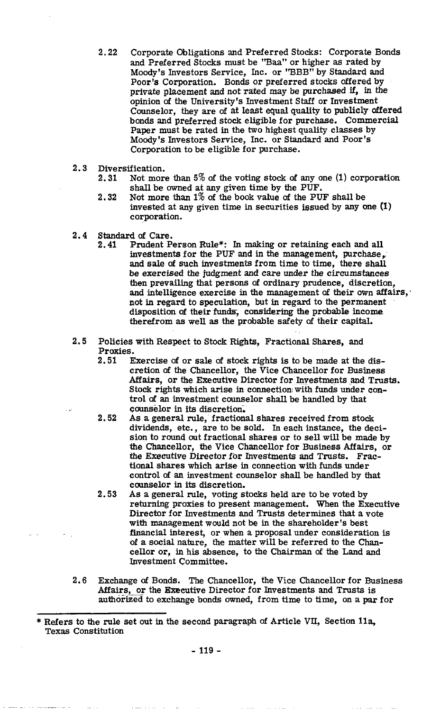- **2.22** Corporate Obligations and Preferred Stocks: Corporate Bonds and Preferred Stocks must be "Baa" or higher as rated by Moody's Investors Service, Inc. or "BBB" by Standard and Poor's Corporation. Bonds or preferred stocks offered by private placement and not rated may be purchased if, in the opinion of the University's Investment Staff or Investment Counselor, they are of at least equal quality to publicly atfered bonds and preferred stock eligible for purchase. Commercial Paper must be rated in the two highest quality classes by Moody's Investors Service, Inc. or Standard and Poor's Corporation to be eligible for purchase.
- **2.3** Diversification.
	- **2.31** Not more than **5%** of the voting stock of any one **(1)** corporation shall be owned at any given time by the PUF.
	- **2.32** Not more than **1%** of the book value of the PUF shall be invested at any given time in securities issued by any one (1) corporation.
- 2.4 **Standard of Care.**<br>2.41 **Prudent P** 
	- **2.41** Prudent Person Rule\*: In making or retaining each and all investments for the PUF and in the management, purchase, and sale of such investments from time to time, there shall be exercised the judgment and care under the circumstances then prevailing that persons of ordinary prudence, discretion, and intelligence exercise in the management of their own affairs, not in regard to speculation, but in regard to the permanent disposition of their funds, considering the probable income therefrom **as** well as the probable safety of their capital.
- **2.5** Policies with Respect to Stock Rights, Fractional Shares, and Proxies.
	- **2.51** Exercise of or sale **of** stock rights is to be made at the discretion **of** the Chancellor, the Vice Chancellor for Business Affairs, or the Executive Director for Investments and Trusts. Stock rights which arise in connection with funds under control of an investment counselor shall be handled by that counselor in its discretion,
	- **2.52** As a general rule, fractional shares received from stock dividends, etc., are to be sold. In each instance, the decision to round out fractional shares or to sell will be made by the Chancellor, the Vice Chancellor for Business Affairs, or the Executive Director for Investments and Trusts. Fractional shares which arise in connection with funds under control **of** an investment counselor shall be handled by that counselor in its discretion.
	- **2.53** As a general rule, voting stocks held are to be voted by returning proxies to present management. When the Executive Director for Investments and Trusts determines that a vote with management would not be in the shareholder's best financial interest, or when a proposal under consideration is of a social nature, the matter will be referred to the Chancellor or, in his absence, to the Chairman of the Land and Investment Committee.
- **2.6** Exchange of Bonds. The Chancellor, the Vice Chancellor for Business Affairs, or the Executive Director for Investments and Trusts is authorized to exchange bonds owned, from time to time, on a par for or a social nature, the matter will be referred to the Char<br>cellor or, in his absence, to the Chairman of the Land and<br>Investment Committee.<br>2.6 Exchange of Bonds. The Chancellor, the Vice Chancellor for Buse<br>Affairs, or t

Texas Constitution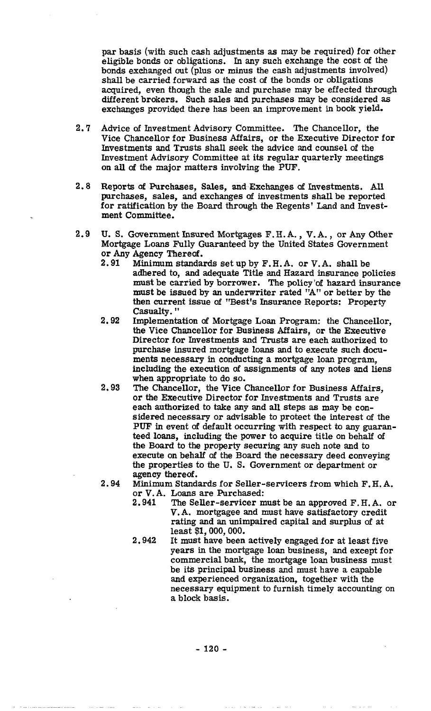par basis (with such cash adjustments as may be required) for other eligible bonds or obligations. In any such exchange the cost of the bonds exchanged out (plus or minus the cash adjustments involved) shall be carried forward as the cost **of** the bonds or obligations acquired, even though the sale and purchase may be effected through different brokers. Such sales and purchases may be considered as exchanges provided there has been an improvement in book yield.

- **2.7** Advice **of** Investment Advisory Committee. The Chancellor, the Vice Chancellor for Business Affairs, or the Executive Director for Investments and Trusts shall seek the advice and counsel of the Investment Advisory Committee at its regular quarterly meetings on all of the major matters involving the PUF.
- **2.8** Reports of Purchases, Sales, and Exchanges **of** Investments. **All**  purchases, sales, and exchanges of investments shall be reported for ratification by the Board through the Regents' Land and Investment Committee.
- **2.9** U. S. Government Insured Mortgages F. H. A. , V. **A.** , or Any Other Mortgage Loans Fully Guaranteed by the United States Government or Any Agency Thereof.
	- **2.91** Minimum standards set up by F. H. A. or V. **A.** shall be adhered to, and adequate Title and Hazard insurance policies must be carried by borrower. The policy of hazard insurance must be issued by an underwriter rated "A" or better by the then current issue of "Best's Insurance Reports: Property Casualty. "
	- **2.92** Implementation of Mortgage Loan Program: the Chancellor, the Vice Chancellor for Business Affairs, or the Executive Director for Investments and Trusts are each authorized to purchase insured mortgage loans and to execute such documents necessary in conducting a mortgage loan program, including the execution of assignments of any notes and liens when appropriate to do so.
	- **2.93** The Chancellor, the Vice Chancellor for Business Affairs, or the Executive Director for Investments and Trusts are each authorized to take any and all steps as may be considered necessary or advisable to protect the interest **of** the PUF in event of default occurring with respect to any guaranteed loans, including the power to acquire title on behalf **of**  the Board to the property securing any such note and to execute on behalf of the Board the necessary deed conveying the properties to the U. S. Government or department or agency thereof.
	- **2.94** Minimum Standards for Seller-servicers from which F. H. A. or V. A. Loans are Purchased:
		- **2.941** The Seller-servicer must be an approved F. H. **A.** or V.A. mortgagee and must have satisfactory credit rating and an unimpaired capital and surplus **of** at least \$1,000,000.
		- **2.942** It must have been actively engaged for at least five years in the mortgage loan business, and except for commercial bank, the mortgage loan business must be its principal business and must have a capable and experienced organization, together with the necessary equipment to furnish timely accounting on a block basis.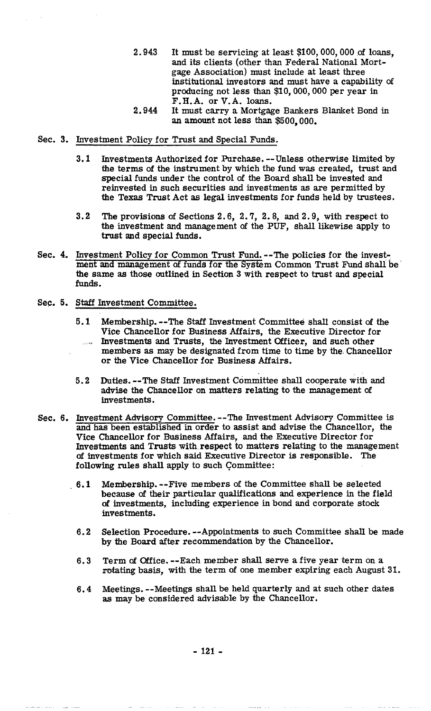- 2.943 It must be servicing at least \$100,000,000 of loans, and its clients (other than Federal National Mortgage Association) must include at least three institutional investors and must have a capability **of**  producing not less than \$10,000,000 per year in F.H.A. or V.A. loans.
- 2.944 It must carry a Mortgage Bankers Blanket Bond in an amount not less than \$500,000.

## Sec. 3. Investment Policy for Trust and Special Funds.

- 3.1 Investments Authorized for Purchase. --Unless otherwise limited by the terms of the instrument by which the fund was created, trust and special funds under the control **of** the Board shall be invested and reinvested in such securities and investments as are permitted by the Texas Trust Act as legal investments for funds held by trustees.
- **3.2** The provisions **of** Sections 2.6, 2.7, 2.8, and 2.9, with respect to the investment and management **of** the PUF, shall likewise apply to trust and special funds.
- Sec. 4. Investment Policy for Common Trust Fund. --The policies for the investment and management **of** funds for the System Common Trust Fund shall be' the same as those outlined in Section 3 with respect to trust and special **funds.**
- Sec. 5. Staff Investment Committee.
	- **5.1** Membership. --The Staff Investment Committee shall consist of the Vice Chancellor for Business Affairs, the Executive Director for Investments and Trusts, the Investment Officer, and such other members **as** may be designated from time to time by the Chancellor or the Vice Chancellor for Business Affairs.
	- 5.2 Duties. --The Staff Investment Committee shall cooperate with and advise the Chancellor on matters relating to the management **of**  investments.
- Sec. 6. Investment Advisory Committee. --The Investment Advisory Committee is and has been established in order to assist and advise the Chancellor, the Vice Chancellor for Business Affairs, and the Executive Director for Investments and Trusts **with** respect to matters relating to the management **of** investments for which said Executive Director is responsible. The following rules shall apply to such Committee:
	- 6.1 Membership. --Five members of the Committee shall be selected because **of** their particular qualifications and experience in the field of investments, including experience in bond and corporate stock investments.
		- 6.2 Selection Procedure. --Appointments to such Committee shall be made by the Board after recommendation by the Chancellor.
		- 6.3 Term **of** Office. --Each member shall serve a five year term on a rotating basis, with the term of one member expiring each August 31.
		- 6.4 Meetings. --Meetings shall be held quarterly and at such other dates as may be considered advisable by the Chancellor.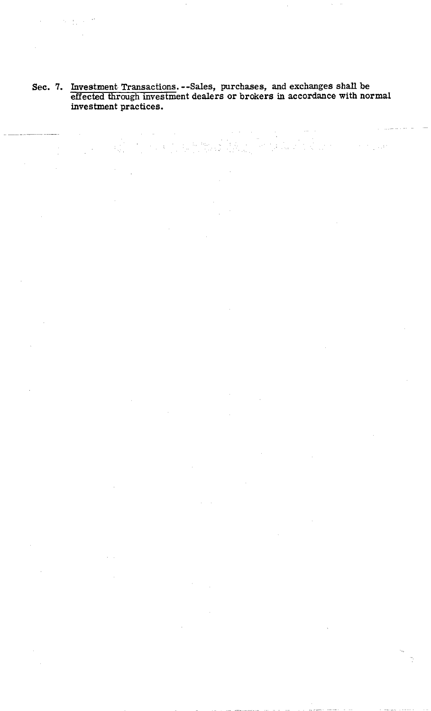## **Sec. 7. Investment Transactions. --Sales, purchases, and exchanges shall be effected through investment dealers or brokers in accordance with normal investment practices.**

in<br>Alban A

 $\frac{1}{\sqrt{2}}\left( \frac{1}{2} \right)$  ,  $\frac{1}{2}$  ,  $\frac{1}{2}$ 

 $\mathcal{A}_\mu$ 

 $\bar{\Omega}$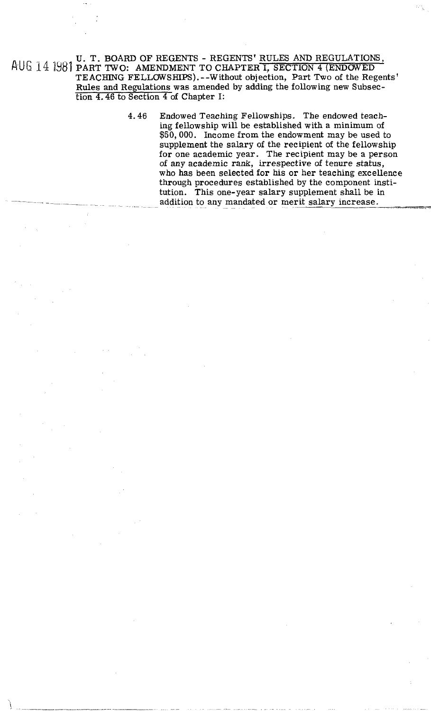U. T. BOARD OF REGENTS - REGENTS' RULES AND REGULATIONS, AUG 14 1981 PART TWO: AMENDMENT TO CHAPTER I, SECTION 4 (ENDOWED TEACHING FELLOWSHIPS).--Without objection, Part TWO of the Regents' Rules and Regulations was amended by adding the following new Subsection 4.46 to Section 4 of Chapter I:

> 4.46 Endowed Teaching Fellowships. The endowed teaching fellowship will be established with a minimum of \$50,000. Income from the endowment may be used to supplement the salary of the recipient of the fellowship for one academic year. The recipient may be a person of any academic rank, irrespective of tenure status, who has been selected for his or her teaching excellence through procedures established by the component institution. This one-year salary supplement shall be in addition to any mandated or merit salary increase.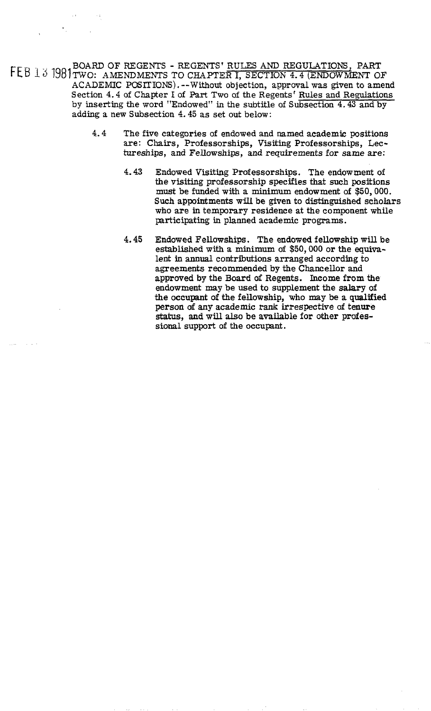BOARD OF REGENTS - REGENTS' RULES AND REGULATIONS, PART 12; 1981 TWO: AMENDMENTS TO CHAPTER I, SECTION **4.4** (ENDOWMENT OF ACADEMIC POSITIONS). --Without objection, approval was given to amend Section 4.4 of Chapter I of Part Two of the Regents' Rules and Regulations by inserting the word "Endowed" in the subtitle of Subsection **4.43** and by adding a new Subsection **4.45** as set out below:

- **4.4** The five categories of endowed and named academic positions are: Chairs, Professorships, Visiting Professorships, Lectureships, and Fellowships, and requirements for same are:
	- **4.43** Endowed Visiting Professorships. The endowment of the visiting professorship specifies **that** such positions must be funded with a minimum endowment of \$50,000. Such appointments will be given to distinguished scholars who are in temporary residence at the component while participating in planned academic programs.
	- 4.45 Endowed Fellowships. The endowed fellowship will be established with a minimum of \$50,000 or the **equiva**lent in **annual** contributions arranged according to agreements recommended by the Chancellor and approved by the Board of Regents. Income from the endowment may be used to supplement the salary of the occupant of the fellowship, who may be a qualified person of any academic rank irrespective of tenure status, and will also be available for other professional support of the occupant.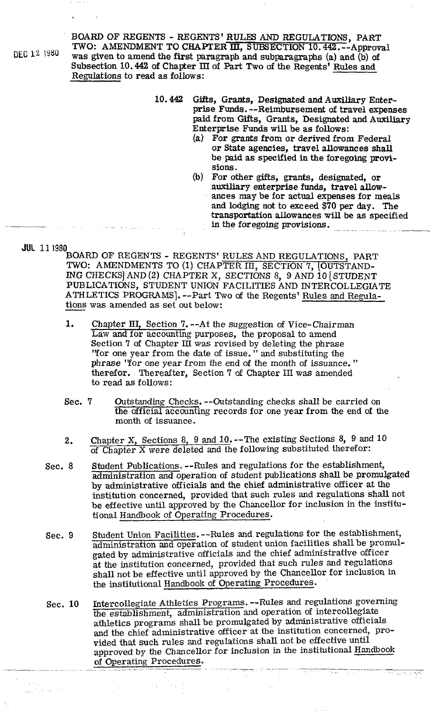BOARD OF REGENTS - REGENTS' RULES AND REGULATIONS, PART **TWO: AMENDMENT TO CHAPTER III, SUBSECTION 10.442.** --Approval **left was given to amend the first paragraph and subparagraphs** (a) and (b) of Subsection 10.442 of Chapter III of **Part** Two of the Regents' Rules and Regulations to read as follows:

- 10.442 Gifts, Grants, Designated and Auxiliary Enterprise Funds. --Reimbursement of travel expenses paid from Gifts, Grants, Designated and Auxiliary Enterprise Funds will be as follows:
	- (a) For grants from or derived from Federal or State agencies, travel allowances shall be paid as specified in the foregoing provisions.
	- (b) For other gifts, grants, designated, or auxiliary enterprise funds, travel allowances may be for actual expenses for meals and lodging not to exceed \$70 per day. The transportation allowances will be as specified (b) For other gifts, grants, designated, or auxiliary enterprise funds, travel allow-<br>ances may be for actual expenses for meals<br>and lodging not to exceed \$70 per day. The<br>transportation allowances will be as specified<br>in

JUL 11 1980

BOARD OF REGENTS - REGENTS' RULES AND REGULATIONS, PART TWO: AMENDMENTS TO (I) CHAPTER III, SECTION 7, (OUTSTAND-**ING** CHECKS] AND **(2)** CHAPTER X, SECTIONS 8, 9 AND 10 [STUDENT PUBLICATIONS, STUDENT UNION FACILITIES AND INTERCOLLEGIATE ATHLETICS PROGRAMS]. --Part Two of the Regents' Rules and Regula-<br>tions was amended as set out below: BOARD OF REGENTS - REGENTS' I<br>TWO: AMENDMENTS TO (1) CHAP<sup>7</sup><br>ING CHECKS] AND (2) CHAPTER X,<br>PUBLICATIONS, STUDENT UNION I<br>ATHLETICS PROGRAMS]. --Part Tw<br>tions was amended as set out below:<br>1

- 1. Chapter III, Section 7. --At the suggestion of Vice-Chairman Law and for accounting purposes, the proposal to amend Section 7 of Chapter **III** was revised by deleting the phrase 'Tor one year from the date of issue. " and substituting the phrase 'Tor one year from the end of the month of issuance. " therefor. Thereafter, Section 7 of Chapter III was amended to read as follows:
- Sec. 7 Outstanding Checks. -- Outstanding checks shall be carried on the official accounting records for one year from the end of the month of issuance.
- **2.** Chapter X, Sections 8, 9 and 10. --The existing Sections 8, 9 and 10 of Chapter **X** were deleted and the following substituted therefor:
- Sec. 8 Student Publications. --Rules and regulations for the establishment, administration and operation of student publications shall be promulgated by administrative officials and the chief administrative officer at the institution concerned, provided that such rules and regulations shall not be effective until approved by the Chancellor for inclusion in the institutional Handbook of Operating' Procedures.
- Sec. 9 Student Union Facilities. --Rules and regulations for the establishment, administration and operation of student union facilities shall be promulgated by administrative officials and the chief administrative officer at the institution concerned, provided that such rules and regulations shall not be effective until approved by the Chancellor for inclusion in the institutional Handbook of Operating Procedures.
- Sec. 10 Intercollegiate Athletics Programs. --Rules and regulations governing the establishment, administration and operation of intercollegiate athletics programs shall be promulgated by administrative officials and the chief administrative officer at the institution concerned, provided that such rules and regulations shall not be effective until approved by the Chancellor for inclusion in the institutional Handbook of Operating Procedures.

~ ~

Figur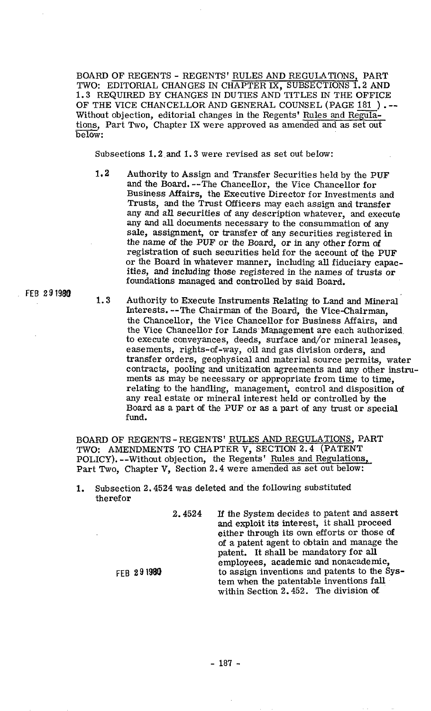BOARD OF REGENTS - REGENTS' RULES AND REGULATIONS, PART TWO: EDITORIAL CHANGES IN CHAPTER IX, SUBSECTIONS 1.2 AND 1.3 REQUIRED BY CHANGES IN DUTIES AND TITLES IN THE OFFICE BOARD OF REGENTS - REGENTS' RULES AND REGULATIONS, PART<br>TWO: EDITORIAL CHANGES IN CHAPTER IX, SUBSECTIONS 1.2 AND<br>1.3 REQUIRED BY CHANGES IN DUTIES AND TITLES IN THE OFFICE<br>OF THE VICE CHANCELLOR AND GENERAL COUNSEL (PAGE Without objection, editorial changes in the Regents' Rules and Regulations, Part Two, Chapter IX were approved as amended and as set out below:

Subsections 1.2 and 1.3 were revised as set out below:

- 1.2 Authority to Assign and Transfer Securities held by the PUF and the Board. --The Chancellor, the Vice Chancellor for Business Affairs, the Executive Director for Investments and Trusts, and the Trust Officers may each assign and transfer any and all securities of any description whatever, and execute any and all documents necessary to the consummation of any sale, assignment, or transfer of any securities registered in the name of the PUF or the Board, or in any other form of registration of such securities held for the account of the PUF or the Board in whatever manner, including all fiduciary capacities, and including those registered in the names of trusts or foundations managed and controlled by said Board.
- **FEB 29 1980** 1.3 Authority to Execute Instruments Relating to Land and Mineral Interests. --The Chairman of the Board, the ViceChairman, the Chancellor, the Vice Chancellor for Business Affairs, and the Vice Chancellor for Lands Management are each authorized to execute conveyances, deeds, surface and/or mineral leases, easements, rights-of-way, oil and gas division orders, and transfer orders, geophysical and material source permits, water contracts, pooling and unitization agreements and any other instruments as may be necessary or appropriate from time to time, relating to the handling, management, control and disposition of any real estate or mineral interest held or controlled by the Board as a part of the PUF or as a part of any trust or special fund.

BOARD OF REGENTS - REGENTS' RULES AND REGULATIONS, PART TWO: AMENDMENTS TO CHAPTER V, SECTION **2.4** (PATENT POLICY). --Without objection, the Regents' Rules and Regulations, Part Two, Chapter V, Section **2.4** were amended as set out below:

**1.** Subsection **2.4524** was deleted and the following substituted therefor

FEB 291980

**2.4524 If** the System decides to patent and assert and exploit its interest, it shall proceed either through its own efforts or those of of a patent agent to obtain and manage the patent. It shall be mandatory for all employees, academic and nonacademic, to assign inventions and patents to the System when the patentable inventions fall within Section 2.452. The division of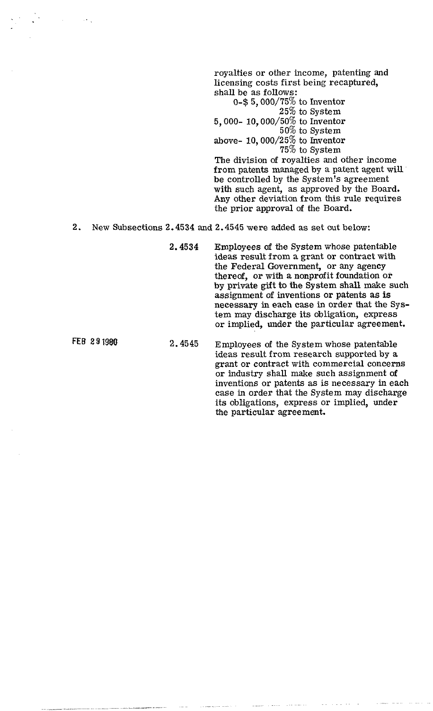royalties or other income, patenting and licensing costs first being recaptured, shall be as follows:

0-\$5,000/75% to Inventor 25% to System 5,000- 10,000/50% to Inventor 50% to System above- 10, 000/25 $%$  to Inventor 75% to System

The division of royalties and other income from patents managed by a patent agent will be controlled by the System's agreement with such agent, as approved by the Board. Any other deviation from this rule requires the prior approval of the Board.

2. New Subsections 2.4534 and 2.4545 were added as set out below:

2.4534 Employees **of** the System whose patentable ideas result from a grant or contract with the Federal Government, or any agency thereof, or with a nonprofit foundation or by private gift to the System shall make such assignment of inventions or patents as is necessary in each case in order that the System may discharge its obligation, express or implied, under the particular agreement.

**FEB 2 9 1980** 2.4545 Employees of the System whose patentable ideas result from research supported by a grant or contract with commercial concerns or industry shall make such assignment of inventions or patents as is necessary in each case in order that the System may discharge its obligations, express or implied, under the particular agreement.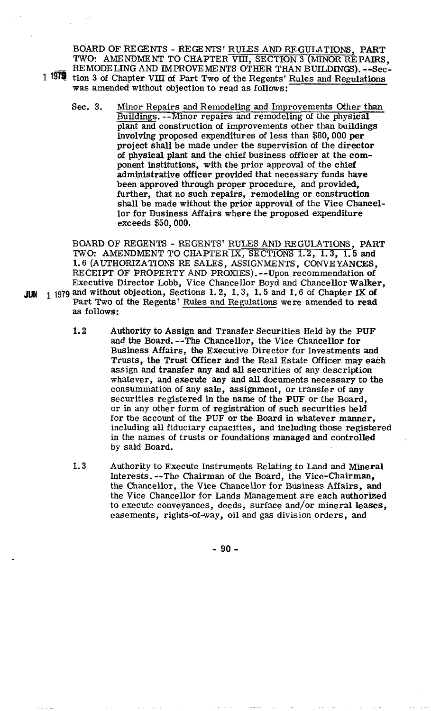BOARD OF REGENTS - RE GENTS' RULES AND REGULATIONS, PART TWO: AMENDMENT TO CHAPTER VIII, SECTION 3 (MINOR REPAIRS, BOARD OF REGENTS - REGENTS' RULES AND REGULATIONS, PART TWO: AMENDMENT TO CHAPTER VIII, SECTION 3 (MINOR REPAIRS<br>REMODELING AND IMPROVEMENTS OTHER THAN BUILDINGS). --Sec-<br>1979 tion 3 of Chapter VIII of Part Two of the Bege 1<sup>1979</sup> tion 3 of Chapter VIII of Part Two of the Regents' Rules and Regulations was amended without objection to read as follows:

Sec. 3. Minor Repairs and Remodeling and Improvements Other than Buildings. --Minor repairs and remodeling of the physical plant and construction of improvements other than buildings hvolving proposed expenditures of less than \$80,000 **per**  project shall be made under the supervision of the director of physical plant and the chief business officer at the component institutions, with the prior approval of the chief administrative officer provided that necessary funds have been approved through proper procedure, and provided, further, that no such repairs, remodeling or construction shall be made without the prior approval of the Vice Chancellor for Business Affairs where the proposed expenditure exceeds \$50,000.

BOARD OF REGENTS - REGENTS' RULES AND REGULATIONS, PART **TWO:** AMENDMENT TO CHAPTER **IX,** SECTIONS 1.2, 1.3, 1.5 and 1.6 (AUTHORIZATIONS RE SALES, ASSIGNMENTS, CONVEYANCES, RECEIPT OF PROPERTY AND PROXIES). --Upon recommendation of Executive Director Lobb, Vice Chancellor Boyd and Chancellor Walker, **JUN** 1979 and without objection, Sections 1.2, 1.3, 1.5 and 1.6 of Chapter **IX** of Part Two of the Regents' Rules and Regulations were amended to read as follows:

- 1.2 Authority to Assign and Transfer Securities Held by the PUF and the Board. --The Chancellor, the Vice Chancellor for Business Affairs, the Executive Director for Investments and Trusts, the Trust Officer and the Real Estate Officer may each assign and transfer any and all securities of any description whatever, and execute any and all documents necessary to the consummation of any sale, assignment, or transfer of any securities registered in the name of the **PUF** or the Board, or in any other form of registration of such securities **held**  for the account of the PUF or the Board in whatever manner, including all fiduciary capacities, and including those registered in the names of trusts or foundations managed and controlled by said Board.
- 1.3 Authority to Execute Instruments Relating to Land and Mineral Interests. --The Chairman of the Board, the Vice-chairman, the Chancellor, the Vice Chancellor for Business Affairs, and the Vice Chancellor for Lands Management are each authorized to execute conveyances, deeds, surface and/or mineral leases, easements, rights-of-way, oil and gas division orders, and

 $-90 -$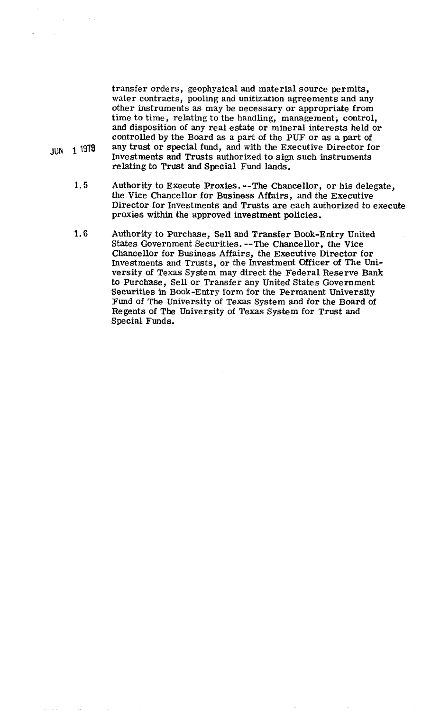transfer orders, geophysical and material source permits, water contracts, pooling and unitization agreements and any other instruments as may be necessary or appropriate from time to time, relating to the handling, management; control, and disposition of any real estate or mineral interests held or controlled by the Board as a part of the PUF or as a part of **JUN 1979** any trust or special fund, and with the Executive Director for Investments and Trusts authorized to sign such instruments relating to Trust and Special Fund lands.

- **1.5** Authority to Execute Proxies. --The Chancellor, or his delegate, the Vice Chancellor for Business Affairs, and the Executive Director for Investments and Trusts are each authorized to execute proxies within the approved investment policies.
- **1.6** Authority to Purchase, Sell and Transfer Book-Entry United States Government Securities. --The Chancellor, the Vice Chancellor for Business Affairs, the Executive Director for Investments and Trusts, or the Investment Officer of The University of Texas System may direct the Federal Reserve Bank to Purchase, Sell or Transfer any United States Government Securities in Book-Entry form for the Permanent University Fund of The University of Texas System and for the Board of Regents of The University of Texas System for Trust and Special Funds.